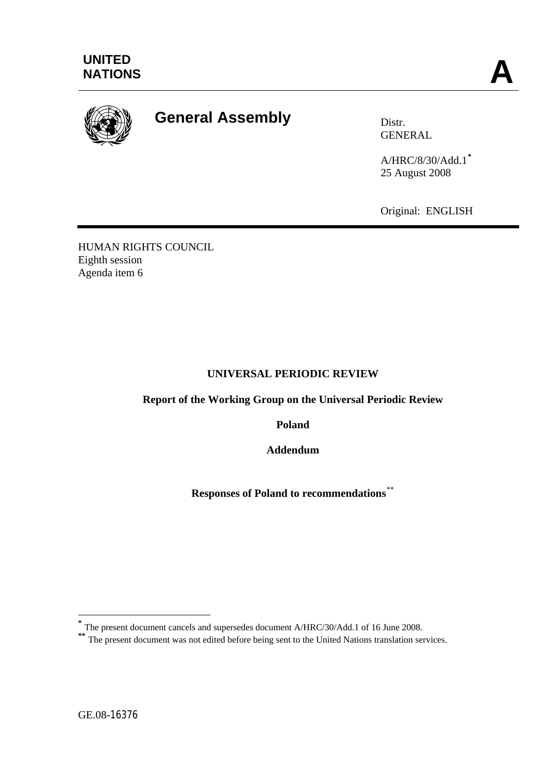

# **General Assembly Distrally**

GENERAL

A/HRC/8/30/Add.1**[\\*](#page-0-0)** 25 August 2008

Original: ENGLISH

HUMAN RIGHTS COUNCIL Eighth session Agenda item 6

# **UNIVERSAL PERIODIC REVIEW**

**Report of the Working Group on the Universal Periodic Review** 

**Poland** 

**Addendum** 

**Responses of Poland to recommendations**[\\*\\*](#page-0-1)

1

**<sup>\*</sup>** The present document cancels and supersedes document A/HRC/30/Add.1 of 16 June 2008.

<span id="page-0-1"></span><span id="page-0-0"></span><sup>&</sup>lt;sup>\*\*</sup> The present document was not edited before being sent to the United Nations translation services.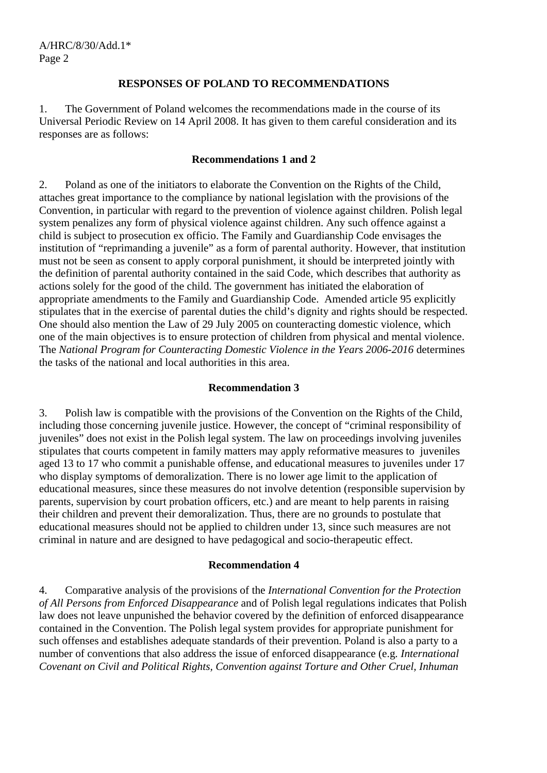# **RESPONSES OF POLAND TO RECOMMENDATIONS**

1. The Government of Poland welcomes the recommendations made in the course of its Universal Periodic Review on 14 April 2008. It has given to them careful consideration and its responses are as follows:

#### **Recommendations 1 and 2**

2. Poland as one of the initiators to elaborate the Convention on the Rights of the Child, attaches great importance to the compliance by national legislation with the provisions of the Convention, in particular with regard to the prevention of violence against children. Polish legal system penalizes any form of physical violence against children. Any such offence against a child is subject to prosecution ex officio. The Family and Guardianship Code envisages the institution of "reprimanding a juvenile" as a form of parental authority. However, that institution must not be seen as consent to apply corporal punishment, it should be interpreted jointly with the definition of parental authority contained in the said Code, which describes that authority as actions solely for the good of the child. The government has initiated the elaboration of appropriate amendments to the Family and Guardianship Code. Amended article 95 explicitly stipulates that in the exercise of parental duties the child's dignity and rights should be respected. One should also mention the Law of 29 July 2005 on counteracting domestic violence, which one of the main objectives is to ensure protection of children from physical and mental violence. The *National Program for Counteracting Domestic Violence in the Years 2006-2016* determines the tasks of the national and local authorities in this area.

## **Recommendation 3**

3. Polish law is compatible with the provisions of the Convention on the Rights of the Child, including those concerning juvenile justice. However, the concept of "criminal responsibility of juveniles" does not exist in the Polish legal system. The law on proceedings involving juveniles stipulates that courts competent in family matters may apply reformative measures to juveniles aged 13 to 17 who commit a punishable offense, and educational measures to juveniles under 17 who display symptoms of demoralization. There is no lower age limit to the application of educational measures, since these measures do not involve detention (responsible supervision by parents, supervision by court probation officers, etc.) and are meant to help parents in raising their children and prevent their demoralization. Thus, there are no grounds to postulate that educational measures should not be applied to children under 13, since such measures are not criminal in nature and are designed to have pedagogical and socio-therapeutic effect.

## **Recommendation 4**

4. Comparative analysis of the provisions of the *International Convention for the Protection of All Persons from Enforced Disappearance* and of Polish legal regulations indicates that Polish law does not leave unpunished the behavior covered by the definition of enforced disappearance contained in the Convention. The Polish legal system provides for appropriate punishment for such offenses and establishes adequate standards of their prevention. Poland is also a party to a number of conventions that also address the issue of enforced disappearance (e.g*. International Covenant on Civil and Political Rights, Convention against Torture and Other Cruel, Inhuman*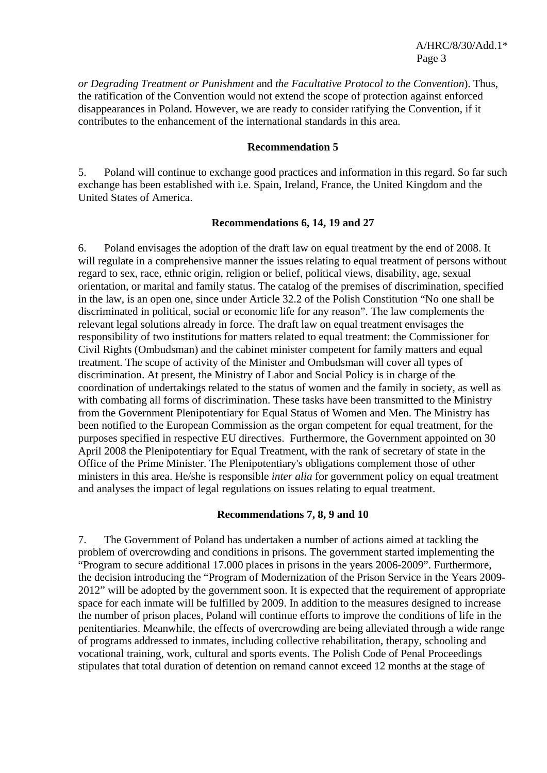*or Degrading Treatment or Punishment* and *the Facultative Protocol to the Convention*). Thus, the ratification of the Convention would not extend the scope of protection against enforced disappearances in Poland. However, we are ready to consider ratifying the Convention, if it contributes to the enhancement of the international standards in this area.

#### **Recommendation 5**

5. Poland will continue to exchange good practices and information in this regard. So far such exchange has been established with i.e. Spain, Ireland, France, the United Kingdom and the United States of America.

## **Recommendations 6, 14, 19 and 27**

6. Poland envisages the adoption of the draft law on equal treatment by the end of 2008. It will regulate in a comprehensive manner the issues relating to equal treatment of persons without regard to sex, race, ethnic origin, religion or belief, political views, disability, age, sexual orientation, or marital and family status. The catalog of the premises of discrimination, specified in the law, is an open one, since under Article 32.2 of the Polish Constitution "No one shall be discriminated in political, social or economic life for any reason". The law complements the relevant legal solutions already in force. The draft law on equal treatment envisages the responsibility of two institutions for matters related to equal treatment: the Commissioner for Civil Rights (Ombudsman) and the cabinet minister competent for family matters and equal treatment. The scope of activity of the Minister and Ombudsman will cover all types of discrimination. At present, the Ministry of Labor and Social Policy is in charge of the coordination of undertakings related to the status of women and the family in society, as well as with combating all forms of discrimination. These tasks have been transmitted to the Ministry from the Government Plenipotentiary for Equal Status of Women and Men. The Ministry has been notified to the European Commission as the organ competent for equal treatment, for the purposes specified in respective EU directives. Furthermore, the Government appointed on 30 April 2008 the Plenipotentiary for Equal Treatment, with the rank of secretary of state in the Office of the Prime Minister. The Plenipotentiary's obligations complement those of other ministers in this area. He/she is responsible *inter alia* for government policy on equal treatment and analyses the impact of legal regulations on issues relating to equal treatment.

## **Recommendations 7, 8, 9 and 10**

7. The Government of Poland has undertaken a number of actions aimed at tackling the problem of overcrowding and conditions in prisons. The government started implementing the "Program to secure additional 17.000 places in prisons in the years 2006-2009". Furthermore, the decision introducing the "Program of Modernization of the Prison Service in the Years 2009- 2012" will be adopted by the government soon. It is expected that the requirement of appropriate space for each inmate will be fulfilled by 2009. In addition to the measures designed to increase the number of prison places, Poland will continue efforts to improve the conditions of life in the penitentiaries. Meanwhile, the effects of overcrowding are being alleviated through a wide range of programs addressed to inmates, including collective rehabilitation, therapy, schooling and vocational training, work, cultural and sports events. The Polish Code of Penal Proceedings stipulates that total duration of detention on remand cannot exceed 12 months at the stage of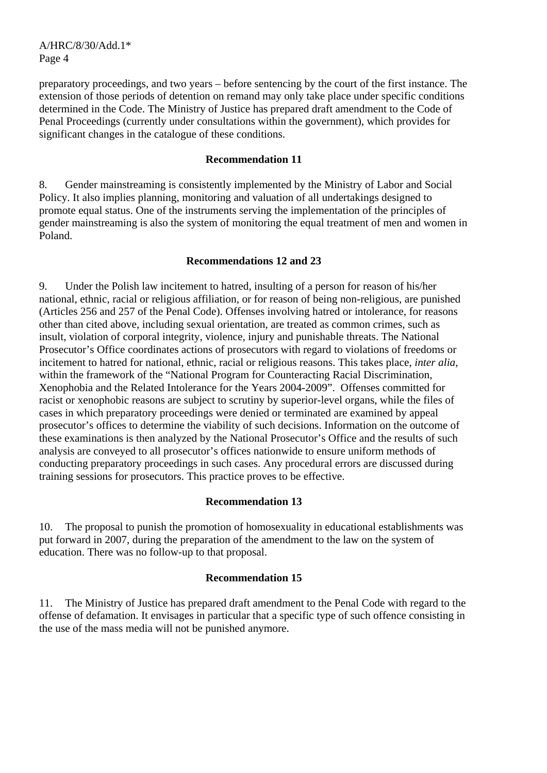A/HRC/8/30/Add.1\* Page 4

preparatory proceedings, and two years – before sentencing by the court of the first instance. The extension of those periods of detention on remand may only take place under specific conditions determined in the Code. The Ministry of Justice has prepared draft amendment to the Code of Penal Proceedings (currently under consultations within the government), which provides for significant changes in the catalogue of these conditions.

## **Recommendation 11**

8. Gender mainstreaming is consistently implemented by the Ministry of Labor and Social Policy. It also implies planning, monitoring and valuation of all undertakings designed to promote equal status. One of the instruments serving the implementation of the principles of gender mainstreaming is also the system of monitoring the equal treatment of men and women in Poland.

# **Recommendations 12 and 23**

9. Under the Polish law incitement to hatred, insulting of a person for reason of his/her national, ethnic, racial or religious affiliation, or for reason of being non-religious, are punished (Articles 256 and 257 of the Penal Code). Offenses involving hatred or intolerance, for reasons other than cited above, including sexual orientation, are treated as common crimes, such as insult, violation of corporal integrity, violence, injury and punishable threats. The National Prosecutor's Office coordinates actions of prosecutors with regard to violations of freedoms or incitement to hatred for national, ethnic, racial or religious reasons. This takes place, *inter alia*, within the framework of the "National Program for Counteracting Racial Discrimination, Xenophobia and the Related Intolerance for the Years 2004-2009". Offenses committed for racist or xenophobic reasons are subject to scrutiny by superior-level organs, while the files of cases in which preparatory proceedings were denied or terminated are examined by appeal prosecutor's offices to determine the viability of such decisions. Information on the outcome of these examinations is then analyzed by the National Prosecutor's Office and the results of such analysis are conveyed to all prosecutor's offices nationwide to ensure uniform methods of conducting preparatory proceedings in such cases. Any procedural errors are discussed during training sessions for prosecutors. This practice proves to be effective.

## **Recommendation 13**

10. The proposal to punish the promotion of homosexuality in educational establishments was put forward in 2007, during the preparation of the amendment to the law on the system of education. There was no follow-up to that proposal.

# **Recommendation 15**

11. The Ministry of Justice has prepared draft amendment to the Penal Code with regard to the offense of defamation. It envisages in particular that a specific type of such offence consisting in the use of the mass media will not be punished anymore.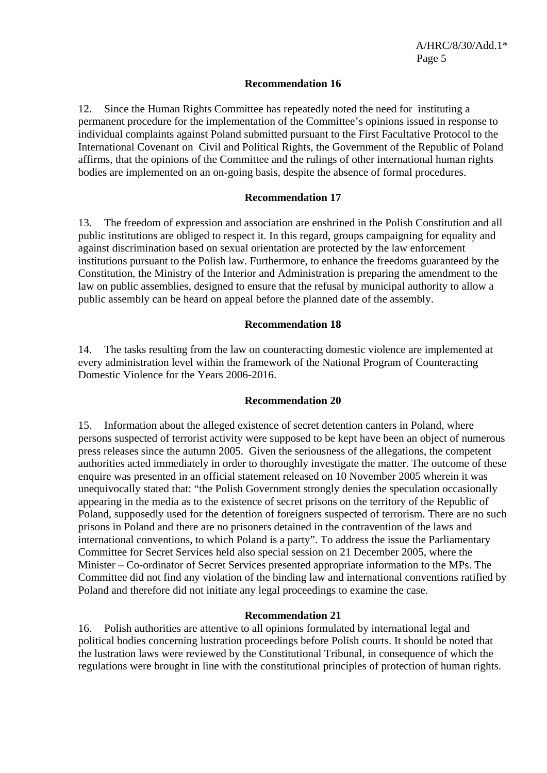# **Recommendation 16**

12. Since the Human Rights Committee has repeatedly noted the need for instituting a permanent procedure for the implementation of the Committee's opinions issued in response to individual complaints against Poland submitted pursuant to the First Facultative Protocol to the International Covenant on Civil and Political Rights, the Government of the Republic of Poland affirms, that the opinions of the Committee and the rulings of other international human rights bodies are implemented on an on-going basis, despite the absence of formal procedures.

# **Recommendation 17**

13. The freedom of expression and association are enshrined in the Polish Constitution and all public institutions are obliged to respect it. In this regard, groups campaigning for equality and against discrimination based on sexual orientation are protected by the law enforcement institutions pursuant to the Polish law. Furthermore, to enhance the freedoms guaranteed by the Constitution, the Ministry of the Interior and Administration is preparing the amendment to the law on public assemblies, designed to ensure that the refusal by municipal authority to allow a public assembly can be heard on appeal before the planned date of the assembly.

## **Recommendation 18**

14. The tasks resulting from the law on counteracting domestic violence are implemented at every administration level within the framework of the National Program of Counteracting Domestic Violence for the Years 2006-2016.

## **Recommendation 20**

15. Information about the alleged existence of secret detention canters in Poland, where persons suspected of terrorist activity were supposed to be kept have been an object of numerous press releases since the autumn 2005. Given the seriousness of the allegations, the competent authorities acted immediately in order to thoroughly investigate the matter. The outcome of these enquire was presented in an official statement released on 10 November 2005 wherein it was unequivocally stated that: "the Polish Government strongly denies the speculation occasionally appearing in the media as to the existence of secret prisons on the territory of the Republic of Poland, supposedly used for the detention of foreigners suspected of terrorism. There are no such prisons in Poland and there are no prisoners detained in the contravention of the laws and international conventions, to which Poland is a party". To address the issue the Parliamentary Committee for Secret Services held also special session on 21 December 2005, where the Minister – Co-ordinator of Secret Services presented appropriate information to the MPs. The Committee did not find any violation of the binding law and international conventions ratified by Poland and therefore did not initiate any legal proceedings to examine the case.

## **Recommendation 21**

16. Polish authorities are attentive to all opinions formulated by international legal and political bodies concerning lustration proceedings before Polish courts. It should be noted that the lustration laws were reviewed by the Constitutional Tribunal, in consequence of which the regulations were brought in line with the constitutional principles of protection of human rights.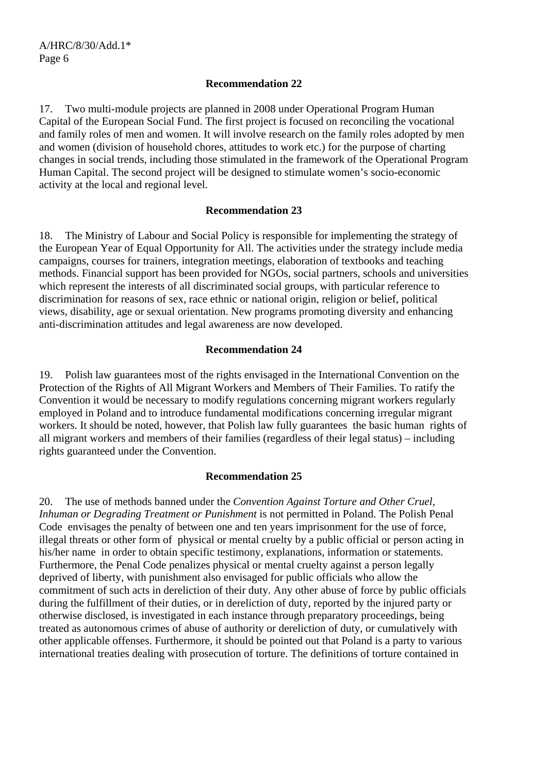# **Recommendation 22**

17. Two multi-module projects are planned in 2008 under Operational Program Human Capital of the European Social Fund. The first project is focused on reconciling the vocational and family roles of men and women. It will involve research on the family roles adopted by men and women (division of household chores, attitudes to work etc.) for the purpose of charting changes in social trends, including those stimulated in the framework of the Operational Program Human Capital. The second project will be designed to stimulate women's socio-economic activity at the local and regional level.

# **Recommendation 23**

18. The Ministry of Labour and Social Policy is responsible for implementing the strategy of the European Year of Equal Opportunity for All. The activities under the strategy include media campaigns, courses for trainers, integration meetings, elaboration of textbooks and teaching methods. Financial support has been provided for NGOs, social partners, schools and universities which represent the interests of all discriminated social groups, with particular reference to discrimination for reasons of sex, race ethnic or national origin, religion or belief, political views, disability, age or sexual orientation. New programs promoting diversity and enhancing anti-discrimination attitudes and legal awareness are now developed.

# **Recommendation 24**

19. Polish law guarantees most of the rights envisaged in the International Convention on the Protection of the Rights of All Migrant Workers and Members of Their Families. To ratify the Convention it would be necessary to modify regulations concerning migrant workers regularly employed in Poland and to introduce fundamental modifications concerning irregular migrant workers. It should be noted, however, that Polish law fully guarantees the basic human rights of all migrant workers and members of their families (regardless of their legal status) – including rights guaranteed under the Convention.

# **Recommendation 25**

20. The use of methods banned under the *Convention Against Torture and Other Cruel, Inhuman or Degrading Treatment or Punishment* is not permitted in Poland. The Polish Penal Code envisages the penalty of between one and ten years imprisonment for the use of force, illegal threats or other form of physical or mental cruelty by a public official or person acting in his/her name in order to obtain specific testimony, explanations, information or statements. Furthermore, the Penal Code penalizes physical or mental cruelty against a person legally deprived of liberty, with punishment also envisaged for public officials who allow the commitment of such acts in dereliction of their duty. Any other abuse of force by public officials during the fulfillment of their duties, or in dereliction of duty, reported by the injured party or otherwise disclosed, is investigated in each instance through preparatory proceedings, being treated as autonomous crimes of abuse of authority or dereliction of duty, or cumulatively with other applicable offenses. Furthermore, it should be pointed out that Poland is a party to various international treaties dealing with prosecution of torture. The definitions of torture contained in